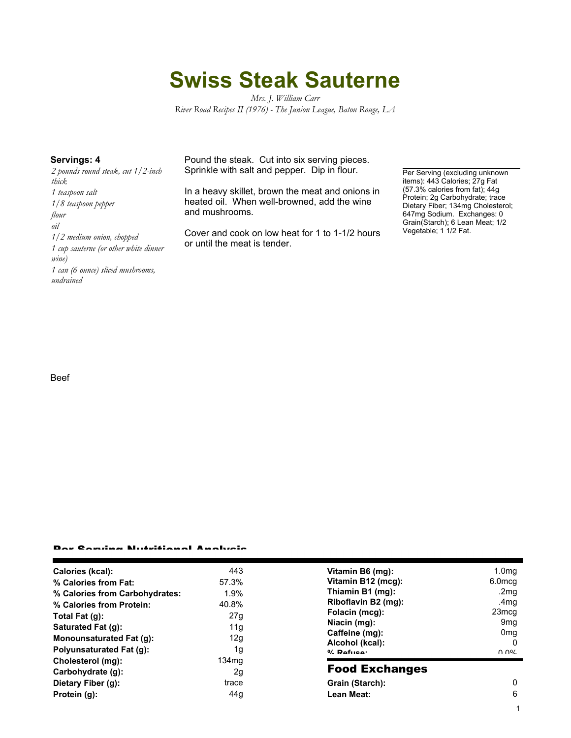# **Swiss Steak Sauterne**

*Mrs. J. William Carr River Road Recipes II (1976) - The Junion League, Baton Rouge, LA*

*2 pounds round steak, cut 1/2-inch thick 1 teaspoon salt 1/8 teaspoon pepper flour oil 1/2 medium onion, chopped 1 cup sauterne (or other white dinner wine) 1 can (6 ounce) sliced mushrooms, undrained*

**Servings: 4** Pound the steak. Cut into six serving pieces. Sprinkle with salt and pepper. Dip in flour.

> In a heavy skillet, brown the meat and onions in heated oil. When well-browned, add the wine and mushrooms.

> Cover and cook on low heat for 1 to 1-1/2 hours or until the meat is tender.

Per Serving (excluding unknown items): 443 Calories; 27g Fat (57.3% calories from fat); 44g Protein; 2g Carbohydrate; trace Dietary Fiber; 134mg Cholesterol; 647mg Sodium. Exchanges: 0 Grain(Starch); 6 Lean Meat; 1/2 Vegetable; 1 1/2 Fat.

Beef

### Per Serving Nutritional Analysis

| Calories (kcal):                | 443               | Vitamin B6 (mg):      | 1.0 <sub>mg</sub>  |
|---------------------------------|-------------------|-----------------------|--------------------|
| % Calories from Fat:            | 57.3%             | Vitamin B12 (mcg):    | 6.0 <sub>mcq</sub> |
| % Calories from Carbohydrates:  | 1.9%              | Thiamin B1 (mg):      | .2mg               |
| % Calories from Protein:        | 40.8%             | Riboflavin B2 (mg):   | .4mq               |
| Total Fat (g):                  | 27g               | Folacin (mcg):        | 23 <sub>mcg</sub>  |
| Saturated Fat (g):              | 11g               | Niacin (mg):          | 9 <sub>mq</sub>    |
|                                 |                   | Caffeine (mg):        | 0 <sub>mq</sub>    |
| Monounsaturated Fat (g):        | 12g               | Alcohol (kcal):       |                    |
| <b>Polyunsaturated Fat (g):</b> | 1g                | $0/2$ Pofileo:        | በ በ%               |
| Cholesterol (mg):               | 134 <sub>mq</sub> |                       |                    |
| Carbohydrate (g):               | 2g                | <b>Food Exchanges</b> |                    |
| Dietary Fiber (g):              | trace             | Grain (Starch):       | 0                  |
| Protein (g):                    | 44g               | Lean Meat:            | 6                  |

1